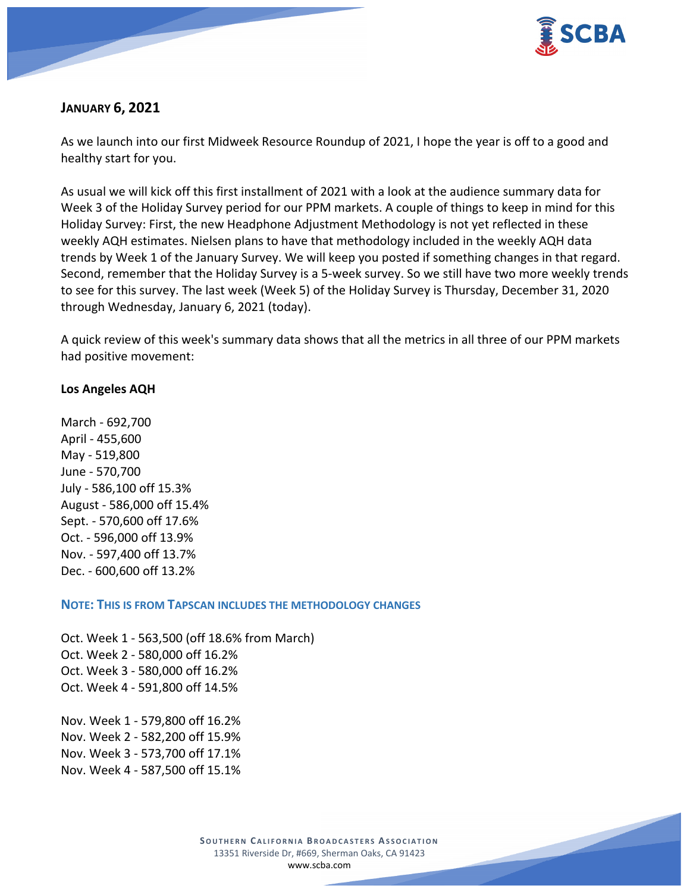

# **JANUARY 6, 2021**

As we launch into our first Midweek Resource Roundup of 2021, I hope the year is off to a good and healthy start for you.

As usual we will kick off this first installment of 2021 with a look at the audience summary data for Week 3 of the Holiday Survey period for our PPM markets. A couple of things to keep in mind for this Holiday Survey: First, the new Headphone Adjustment Methodology is not yet reflected in these weekly AQH estimates. Nielsen plans to have that methodology included in the weekly AQH data trends by Week 1 of the January Survey. We will keep you posted if something changes in that regard. Second, remember that the Holiday Survey is a 5-week survey. So we still have two more weekly trends to see for this survey. The last week (Week 5) of the Holiday Survey is Thursday, December 31, 2020 through Wednesday, January 6, 2021 (today).

A quick review of this week's summary data shows that all the metrics in all three of our PPM markets had positive movement:

#### **Los Angeles AQH**

March - 692,700 April - 455,600 May - 519,800 June - 570,700 July - 586,100 off 15.3% August - 586,000 off 15.4% Sept. - 570,600 off 17.6% Oct. - 596,000 off 13.9% Nov. - 597,400 off 13.7% Dec. - 600,600 off 13.2%

**NOTE: THIS IS FROM TAPSCAN INCLUDES THE METHODOLOGY CHANGES**

Oct. Week 1 - 563,500 (off 18.6% from March) Oct. Week 2 - 580,000 off 16.2% Oct. Week 3 - 580,000 off 16.2% Oct. Week 4 - 591,800 off 14.5%

Nov. Week 1 - 579,800 off 16.2% Nov. Week 2 - 582,200 off 15.9% Nov. Week 3 - 573,700 off 17.1% Nov. Week 4 - 587,500 off 15.1%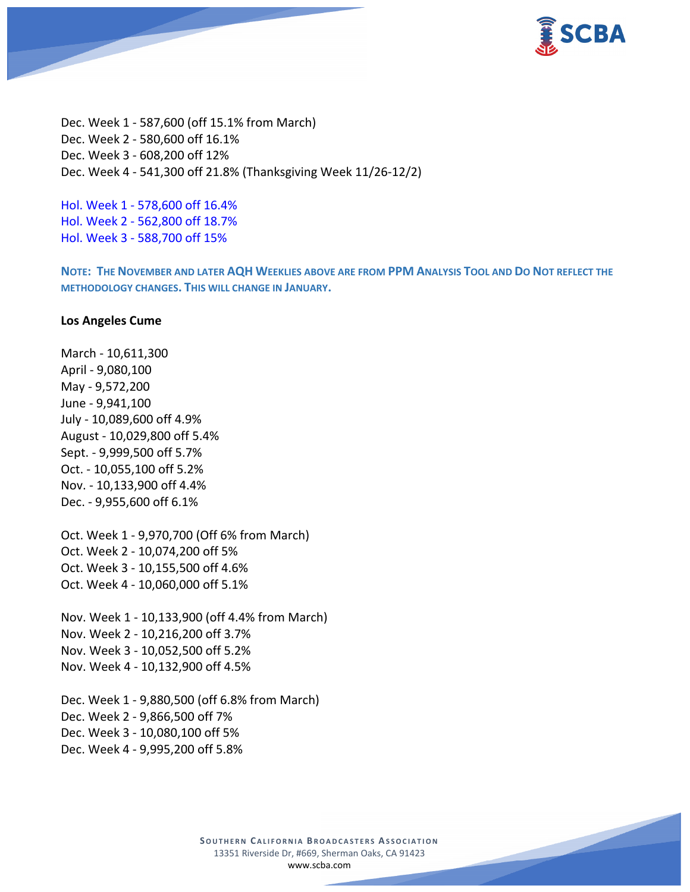

Dec. Week 1 - 587,600 (off 15.1% from March) Dec. Week 2 - 580,600 off 16.1% Dec. Week 3 - 608,200 off 12% Dec. Week 4 - 541,300 off 21.8% (Thanksgiving Week 11/26-12/2)

Hol. Week 1 - 578,600 off 16.4% Hol. Week 2 - 562,800 off 18.7% Hol. Week 3 - 588,700 off 15%

**NOTE: THE NOVEMBER AND LATER AQH WEEKLIES ABOVE ARE FROM PPM ANALYSIS TOOL AND DO NOT REFLECT THE METHODOLOGY CHANGES. THIS WILL CHANGE IN JANUARY.**

#### **Los Angeles Cume**

March - 10,611,300 April - 9,080,100 May - 9,572,200 June - 9,941,100 July - 10,089,600 off 4.9% August - 10,029,800 off 5.4% Sept. - 9,999,500 off 5.7% Oct. - 10,055,100 off 5.2% Nov. - 10,133,900 off 4.4% Dec. - 9,955,600 off 6.1%

Oct. Week 1 - 9,970,700 (Off 6% from March) Oct. Week 2 - 10,074,200 off 5% Oct. Week 3 - 10,155,500 off 4.6% Oct. Week 4 - 10,060,000 off 5.1%

Nov. Week 1 - 10,133,900 (off 4.4% from March) Nov. Week 2 - 10,216,200 off 3.7% Nov. Week 3 - 10,052,500 off 5.2% Nov. Week 4 - 10,132,900 off 4.5%

Dec. Week 1 - 9,880,500 (off 6.8% from March) Dec. Week 2 - 9,866,500 off 7% Dec. Week 3 - 10,080,100 off 5% Dec. Week 4 - 9,995,200 off 5.8%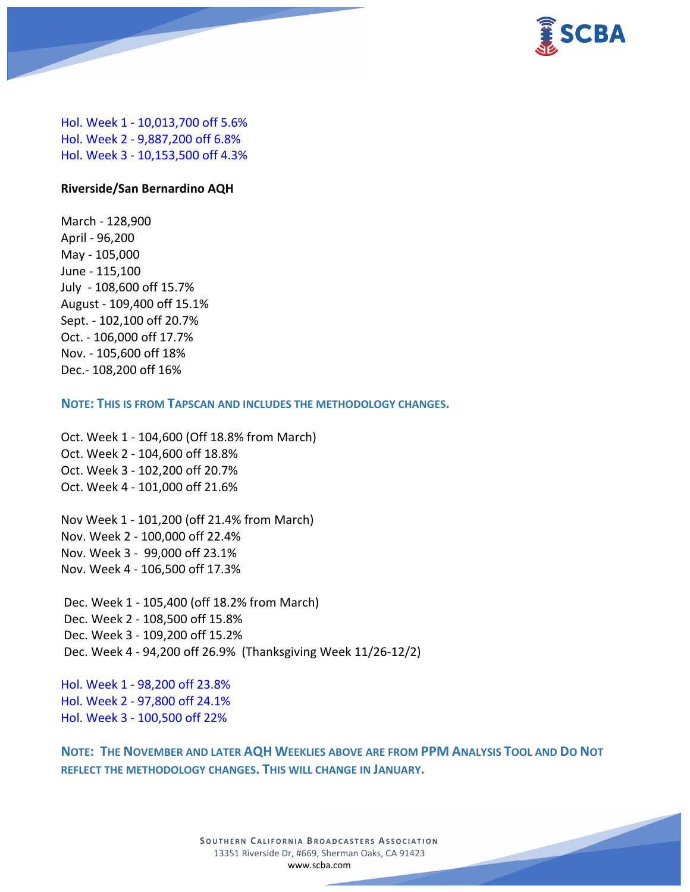

Hol. Week 1 - 10,013,700 off 5.6% Hol. Week 2 - 9,887,200 off 6.8% Hol. Week 3 - 10,153,500 off 4.3%

### **Riverside/San Bernardino AQH**

March - 128,900 April - 96,200 May - 105,000 June - 115,100 July - 108,600 off 15.7% August - 109,400 off 15.1% Sept. - 102,100 off 20.7% Oct. - 106,000 off 17.7% Nov. - 105,600 off 18% Dec.- 108,200 off 16%

**NOTE: THIS IS FROM TAPSCAN AND INCLUDES THE METHODOLOGY CHANGES.** 

Oct. Week 1 - 104,600 (Off 18.8% from March) Oct. Week 2 - 104,600 off 18.8% Oct. Week 3 - 102,200 off 20.7% Oct. Week 4 - 101,000 off 21.6%

Nov Week 1 - 101,200 (off 21.4% from March) Nov. Week 2 - 100,000 off 22.4% Nov. Week 3 - 99,000 off 23.1% Nov. Week 4 - 106,500 off 17.3%

Dec. Week 1 - 105,400 (off 18.2% from March) Dec. Week 2 - 108,500 off 15.8% Dec. Week 3 - 109,200 off 15.2% Dec. Week 4 - 94,200 off 26.9% (Thanksgiving Week 11/26-12/2)

Hol. Week 1 - 98,200 off 23.8% Hol. Week 2 - 97,800 off 24.1% Hol. Week 3 - 100,500 off 22%

**NOTE: THE NOVEMBER AND LATER AQH WEEKLIES ABOVE ARE FROM PPM ANALYSIS TOOL AND DO NOT REFLECT THE METHODOLOGY CHANGES. THIS WILL CHANGE IN JANUARY.**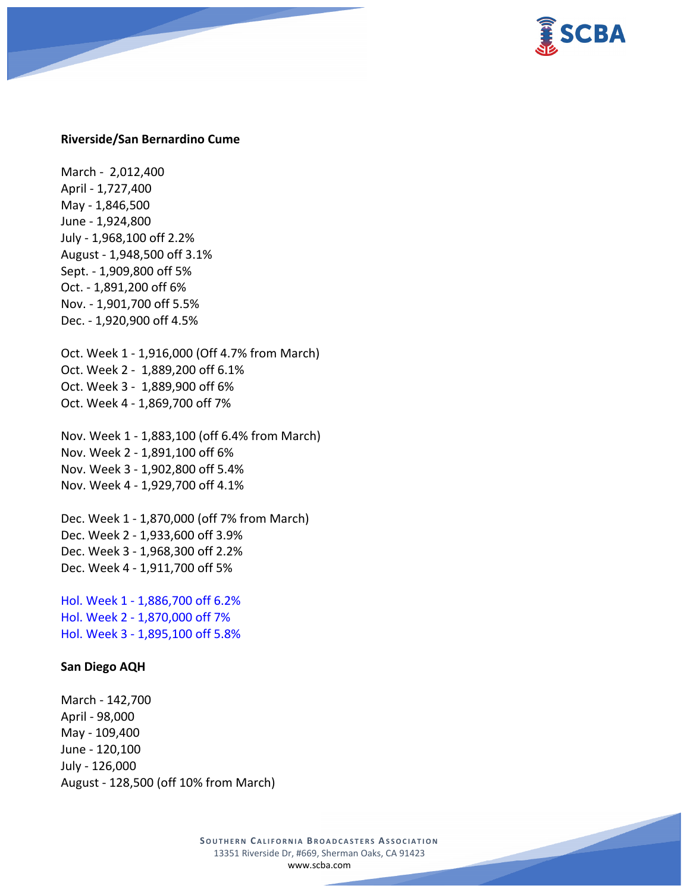

#### **Riverside/San Bernardino Cume**

March - 2,012,400 April - 1,727,400 May - 1,846,500 June - 1,924,800 July - 1,968,100 off 2.2% August - 1,948,500 off 3.1% Sept. - 1,909,800 off 5% Oct. - 1,891,200 off 6% Nov. - 1,901,700 off 5.5% Dec. - 1,920,900 off 4.5%

Oct. Week 1 - 1,916,000 (Off 4.7% from March) Oct. Week 2 - 1,889,200 off 6.1% Oct. Week 3 - 1,889,900 off 6% Oct. Week 4 - 1,869,700 off 7%

Nov. Week 1 - 1,883,100 (off 6.4% from March) Nov. Week 2 - 1,891,100 off 6% Nov. Week 3 - 1,902,800 off 5.4% Nov. Week 4 - 1,929,700 off 4.1%

Dec. Week 1 - 1,870,000 (off 7% from March) Dec. Week 2 - 1,933,600 off 3.9% Dec. Week 3 - 1,968,300 off 2.2% Dec. Week 4 - 1,911,700 off 5%

Hol. Week 1 - 1,886,700 off 6.2% Hol. Week 2 - 1,870,000 off 7% Hol. Week 3 - 1,895,100 off 5.8%

#### **San Diego AQH**

March - 142,700 April - 98,000 May - 109,400 June - 120,100 July - 126,000 August - 128,500 (off 10% from March)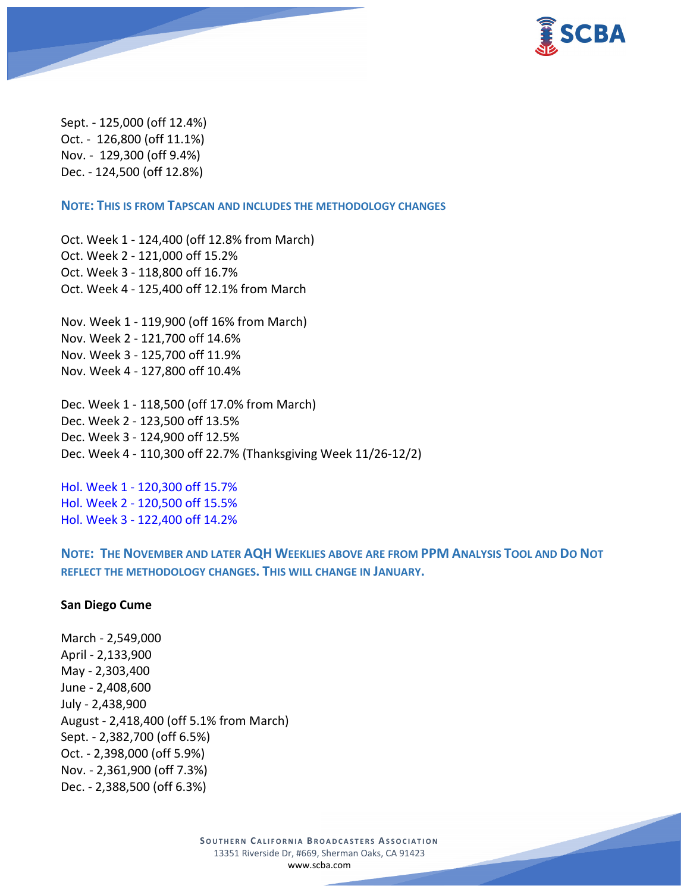

Sept. - 125,000 (off 12.4%) Oct. - 126,800 (off 11.1%) Nov. - 129,300 (off 9.4%) Dec. - 124,500 (off 12.8%)

**NOTE: THIS IS FROM TAPSCAN AND INCLUDES THE METHODOLOGY CHANGES** 

Oct. Week 1 - 124,400 (off 12.8% from March) Oct. Week 2 - 121,000 off 15.2% Oct. Week 3 - 118,800 off 16.7% Oct. Week 4 - 125,400 off 12.1% from March

Nov. Week 1 - 119,900 (off 16% from March) Nov. Week 2 - 121,700 off 14.6% Nov. Week 3 - 125,700 off 11.9% Nov. Week 4 - 127,800 off 10.4%

Dec. Week 1 - 118,500 (off 17.0% from March) Dec. Week 2 - 123,500 off 13.5% Dec. Week 3 - 124,900 off 12.5% Dec. Week 4 - 110,300 off 22.7% (Thanksgiving Week 11/26-12/2)

Hol. Week 1 - 120,300 off 15.7% Hol. Week 2 - 120,500 off 15.5% Hol. Week 3 - 122,400 off 14.2%

**NOTE: THE NOVEMBER AND LATER AQH WEEKLIES ABOVE ARE FROM PPM ANALYSIS TOOL AND DO NOT REFLECT THE METHODOLOGY CHANGES. THIS WILL CHANGE IN JANUARY.**

#### **San Diego Cume**

March - 2,549,000 April - 2,133,900 May - 2,303,400 June - 2,408,600 July - 2,438,900 August - 2,418,400 (off 5.1% from March) Sept. - 2,382,700 (off 6.5%) Oct. - 2,398,000 (off 5.9%) Nov. - 2,361,900 (off 7.3%) Dec. - 2,388,500 (off 6.3%)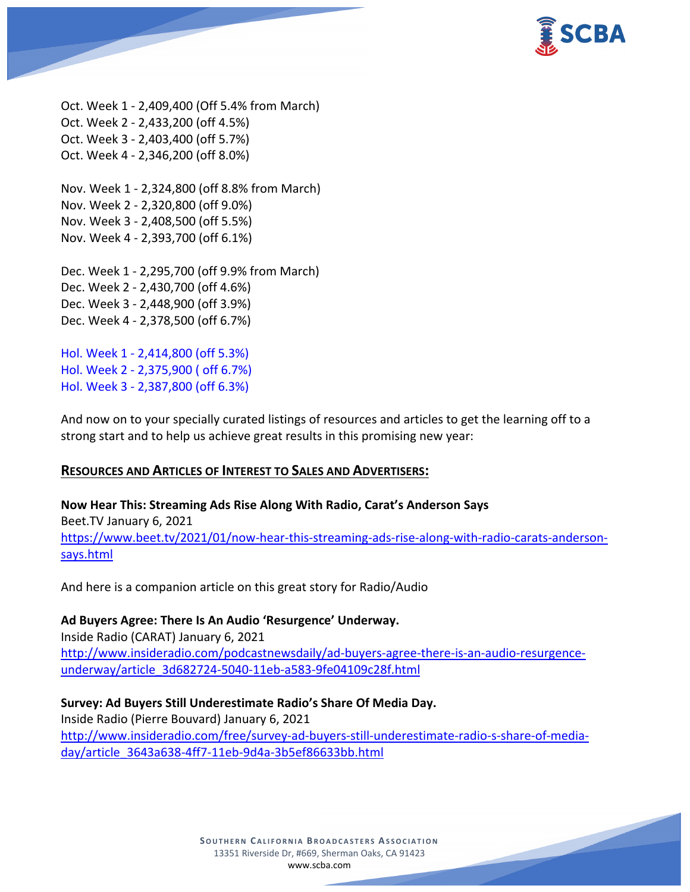

Oct. Week 1 - 2,409,400 (Off 5.4% from March) Oct. Week 2 - 2,433,200 (off 4.5%) Oct. Week 3 - 2,403,400 (off 5.7%) Oct. Week 4 - 2,346,200 (off 8.0%)

Nov. Week 1 - 2,324,800 (off 8.8% from March) Nov. Week 2 - 2,320,800 (off 9.0%) Nov. Week 3 - 2,408,500 (off 5.5%) Nov. Week 4 - 2,393,700 (off 6.1%)

Dec. Week 1 - 2,295,700 (off 9.9% from March) Dec. Week 2 - 2,430,700 (off 4.6%) Dec. Week 3 - 2,448,900 (off 3.9%) Dec. Week 4 - 2,378,500 (off 6.7%)

Hol. Week 1 - 2,414,800 (off 5.3%) Hol. Week 2 - 2,375,900 ( off 6.7%) Hol. Week 3 - 2,387,800 (off 6.3%)

And now on to your specially curated listings of resources and articles to get the learning off to a strong start and to help us achieve great results in this promising new year:

### **RESOURCES AND ARTICLES OF INTEREST TO SALES AND ADVERTISERS:**

**Now Hear This: Streaming Ads Rise Along With Radio, Carat's Anderson Says** Beet.TV January 6, 2021 [https://www.beet.tv/2021/01/now-hear-this-streaming-ads-rise-along-with-radio-carats-anderson](https://www.beet.tv/2021/01/now-hear-this-streaming-ads-rise-along-with-radio-carats-anderson-says.html)[says.html](https://www.beet.tv/2021/01/now-hear-this-streaming-ads-rise-along-with-radio-carats-anderson-says.html)

And here is a companion article on this great story for Radio/Audio

**Ad Buyers Agree: There Is An Audio 'Resurgence' Underway.** Inside Radio (CARAT) January 6, 2021 [http://www.insideradio.com/podcastnewsdaily/ad-buyers-agree-there-is-an-audio-resurgence](http://www.insideradio.com/podcastnewsdaily/ad-buyers-agree-there-is-an-audio-resurgence-underway/article_3d682724-5040-11eb-a583-9fe04109c28f.html)[underway/article\\_3d682724-5040-11eb-a583-9fe04109c28f.html](http://www.insideradio.com/podcastnewsdaily/ad-buyers-agree-there-is-an-audio-resurgence-underway/article_3d682724-5040-11eb-a583-9fe04109c28f.html)

**Survey: Ad Buyers Still Underestimate Radio's Share Of Media Day.** Inside Radio (Pierre Bouvard) January 6, 2021 [http://www.insideradio.com/free/survey-ad-buyers-still-underestimate-radio-s-share-of-media](http://www.insideradio.com/free/survey-ad-buyers-still-underestimate-radio-s-share-of-media-day/article_3643a638-4ff7-11eb-9d4a-3b5ef86633bb.html)[day/article\\_3643a638-4ff7-11eb-9d4a-3b5ef86633bb.html](http://www.insideradio.com/free/survey-ad-buyers-still-underestimate-radio-s-share-of-media-day/article_3643a638-4ff7-11eb-9d4a-3b5ef86633bb.html)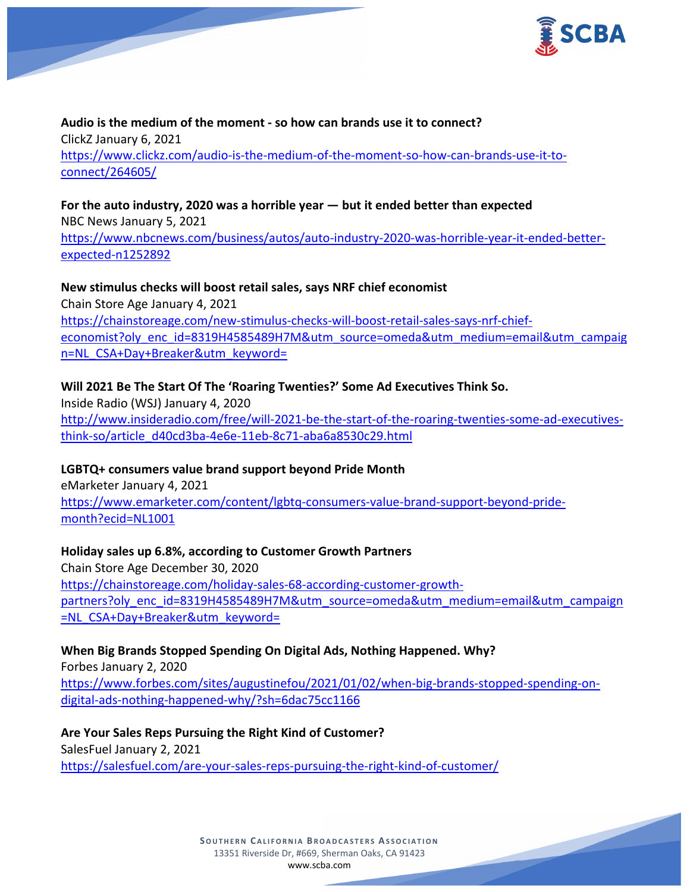

**Audio is the medium of the moment - so how can brands use it to connect?** ClickZ January 6, 2021 [https://www.clickz.com/audio-is-the-medium-of-the-moment-so-how-can-brands-use-it-to](https://www.clickz.com/audio-is-the-medium-of-the-moment-so-how-can-brands-use-it-to-connect/264605/)[connect/264605/](https://www.clickz.com/audio-is-the-medium-of-the-moment-so-how-can-brands-use-it-to-connect/264605/)

# **For the auto industry, 2020 was a horrible year — but it ended better than expected** NBC News January 5, 2021 [https://www.nbcnews.com/business/autos/auto-industry-2020-was-horrible-year-it-ended-better](https://www.nbcnews.com/business/autos/auto-industry-2020-was-horrible-year-it-ended-better-expected-n1252892)[expected-n1252892](https://www.nbcnews.com/business/autos/auto-industry-2020-was-horrible-year-it-ended-better-expected-n1252892)

### **New stimulus checks will boost retail sales, says NRF chief economist**

Chain Store Age January 4, 2021 [https://chainstoreage.com/new-stimulus-checks-will-boost-retail-sales-says-nrf-chief](https://chainstoreage.com/new-stimulus-checks-will-boost-retail-sales-says-nrf-chief-economist?oly_enc_id=8319H4585489H7M&utm_source=omeda&utm_medium=email&utm_campaign=NL_CSA+Day+Breaker&utm_keyword=)[economist?oly\\_enc\\_id=8319H4585489H7M&utm\\_source=omeda&utm\\_medium=email&utm\\_campaig](https://chainstoreage.com/new-stimulus-checks-will-boost-retail-sales-says-nrf-chief-economist?oly_enc_id=8319H4585489H7M&utm_source=omeda&utm_medium=email&utm_campaign=NL_CSA+Day+Breaker&utm_keyword=) [n=NL\\_CSA+Day+Breaker&utm\\_keyword=](https://chainstoreage.com/new-stimulus-checks-will-boost-retail-sales-says-nrf-chief-economist?oly_enc_id=8319H4585489H7M&utm_source=omeda&utm_medium=email&utm_campaign=NL_CSA+Day+Breaker&utm_keyword=)

## **Will 2021 Be The Start Of The 'Roaring Twenties?' Some Ad Executives Think So.**

Inside Radio (WSJ) January 4, 2020 [http://www.insideradio.com/free/will-2021-be-the-start-of-the-roaring-twenties-some-ad-executives](http://www.insideradio.com/free/will-2021-be-the-start-of-the-roaring-twenties-some-ad-executives-think-so/article_d40cd3ba-4e6e-11eb-8c71-aba6a8530c29.html)[think-so/article\\_d40cd3ba-4e6e-11eb-8c71-aba6a8530c29.html](http://www.insideradio.com/free/will-2021-be-the-start-of-the-roaring-twenties-some-ad-executives-think-so/article_d40cd3ba-4e6e-11eb-8c71-aba6a8530c29.html)

### **LGBTQ+ consumers value brand support beyond Pride Month**

eMarketer January 4, 2021 [https://www.emarketer.com/content/lgbtq-consumers-value-brand-support-beyond-pride](https://www.emarketer.com/content/lgbtq-consumers-value-brand-support-beyond-pride-month?ecid=NL1001)[month?ecid=NL1001](https://www.emarketer.com/content/lgbtq-consumers-value-brand-support-beyond-pride-month?ecid=NL1001)

### **Holiday sales up 6.8%, according to Customer Growth Partners**

Chain Store Age December 30, 2020 [https://chainstoreage.com/holiday-sales-68-according-customer-growth](https://chainstoreage.com/holiday-sales-68-according-customer-growth-partners?oly_enc_id=8319H4585489H7M&utm_source=omeda&utm_medium=email&utm_campaign=NL_CSA+Day+Breaker&utm_keyword=)[partners?oly\\_enc\\_id=8319H4585489H7M&utm\\_source=omeda&utm\\_medium=email&utm\\_campaign](https://chainstoreage.com/holiday-sales-68-according-customer-growth-partners?oly_enc_id=8319H4585489H7M&utm_source=omeda&utm_medium=email&utm_campaign=NL_CSA+Day+Breaker&utm_keyword=) [=NL\\_CSA+Day+Breaker&utm\\_keyword=](https://chainstoreage.com/holiday-sales-68-according-customer-growth-partners?oly_enc_id=8319H4585489H7M&utm_source=omeda&utm_medium=email&utm_campaign=NL_CSA+Day+Breaker&utm_keyword=)

**When Big Brands Stopped Spending On Digital Ads, Nothing Happened. Why?** Forbes January 2, 2020 [https://www.forbes.com/sites/augustinefou/2021/01/02/when-big-brands-stopped-spending-on](https://www.forbes.com/sites/augustinefou/2021/01/02/when-big-brands-stopped-spending-on-digital-ads-nothing-happened-why/?sh=6dac75cc1166)[digital-ads-nothing-happened-why/?sh=6dac75cc1166](https://www.forbes.com/sites/augustinefou/2021/01/02/when-big-brands-stopped-spending-on-digital-ads-nothing-happened-why/?sh=6dac75cc1166)

**Are Your Sales Reps Pursuing the Right Kind of Customer?** SalesFuel January 2, 2021 <https://salesfuel.com/are-your-sales-reps-pursuing-the-right-kind-of-customer/>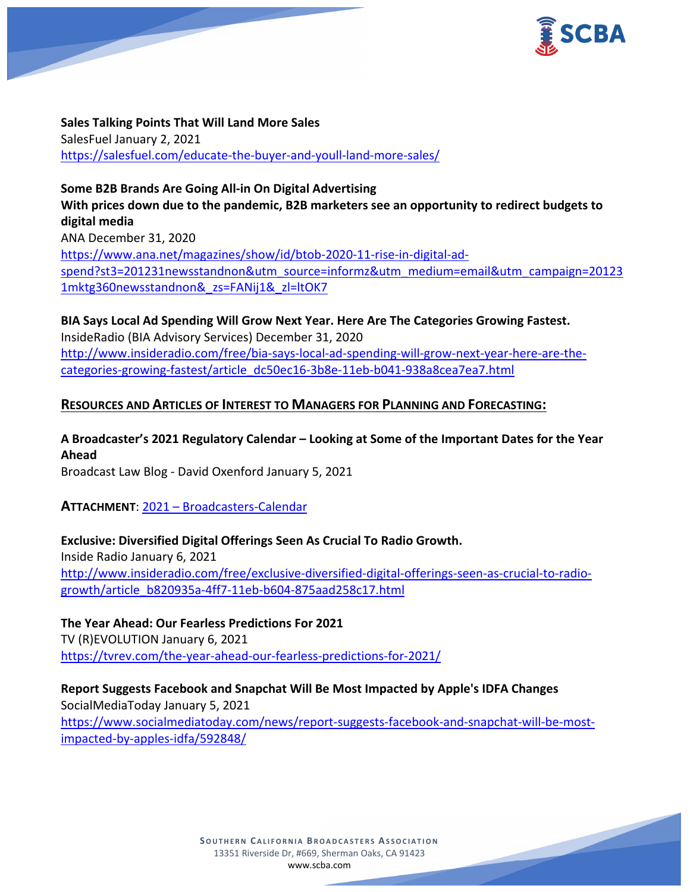

**Sales Talking Points That Will Land More Sales** SalesFuel January 2, 2021 <https://salesfuel.com/educate-the-buyer-and-youll-land-more-sales/>

**Some B2B Brands Are Going All-in On Digital Advertising With prices down due to the pandemic, B2B marketers see an opportunity to redirect budgets to digital media** ANA December 31, 2020 [https://www.ana.net/magazines/show/id/btob-2020-11-rise-in-digital-ad](https://www.ana.net/magazines/show/id/btob-2020-11-rise-in-digital-ad-spend?st3=201231newsstandnon&utm_source=informz&utm_medium=email&utm_campaign=201231mktg360newsstandnon&_zs=FANij1&_zl=ltOK7)[spend?st3=201231newsstandnon&utm\\_source=informz&utm\\_medium=email&utm\\_campaign=20123](https://www.ana.net/magazines/show/id/btob-2020-11-rise-in-digital-ad-spend?st3=201231newsstandnon&utm_source=informz&utm_medium=email&utm_campaign=201231mktg360newsstandnon&_zs=FANij1&_zl=ltOK7) [1mktg360newsstandnon&\\_zs=FANij1&\\_zl=ltOK7](https://www.ana.net/magazines/show/id/btob-2020-11-rise-in-digital-ad-spend?st3=201231newsstandnon&utm_source=informz&utm_medium=email&utm_campaign=201231mktg360newsstandnon&_zs=FANij1&_zl=ltOK7)

**BIA Says Local Ad Spending Will Grow Next Year. Here Are The Categories Growing Fastest.** InsideRadio (BIA Advisory Services) December 31, 2020 [http://www.insideradio.com/free/bia-says-local-ad-spending-will-grow-next-year-here-are-the](http://www.insideradio.com/free/bia-says-local-ad-spending-will-grow-next-year-here-are-the-categories-growing-fastest/article_dc50ec16-3b8e-11eb-b041-938a8cea7ea7.html)[categories-growing-fastest/article\\_dc50ec16-3b8e-11eb-b041-938a8cea7ea7.html](http://www.insideradio.com/free/bia-says-local-ad-spending-will-grow-next-year-here-are-the-categories-growing-fastest/article_dc50ec16-3b8e-11eb-b041-938a8cea7ea7.html)

# **RESOURCES AND ARTICLES OF INTEREST TO MANAGERS FOR PLANNING AND FORECASTING:**

## **A Broadcaster's 2021 Regulatory Calendar – Looking at Some of the Important Dates for the Year Ahead**

Broadcast Law Blog - David Oxenford January 5, 2021

### **ATTACHMENT**: 2021 – [Broadcasters-Calendar](https://scba.com/2021-broadcasters-calendar/)

**Exclusive: Diversified Digital Offerings Seen As Crucial To Radio Growth.** Inside Radio January 6, 2021 [http://www.insideradio.com/free/exclusive-diversified-digital-offerings-seen-as-crucial-to-radio](http://www.insideradio.com/free/exclusive-diversified-digital-offerings-seen-as-crucial-to-radio-growth/article_b820935a-4ff7-11eb-b604-875aad258c17.html)[growth/article\\_b820935a-4ff7-11eb-b604-875aad258c17.html](http://www.insideradio.com/free/exclusive-diversified-digital-offerings-seen-as-crucial-to-radio-growth/article_b820935a-4ff7-11eb-b604-875aad258c17.html)

**The Year Ahead: Our Fearless Predictions For 2021** TV (R)EVOLUTION January 6, 2021 <https://tvrev.com/the-year-ahead-our-fearless-predictions-for-2021/>

# **Report Suggests Facebook and Snapchat Will Be Most Impacted by Apple's IDFA Changes**

SocialMediaToday January 5, 2021 [https://www.socialmediatoday.com/news/report-suggests-facebook-and-snapchat-will-be-most](https://www.socialmediatoday.com/news/report-suggests-facebook-and-snapchat-will-be-most-impacted-by-apples-idfa/592848/)[impacted-by-apples-idfa/592848/](https://www.socialmediatoday.com/news/report-suggests-facebook-and-snapchat-will-be-most-impacted-by-apples-idfa/592848/)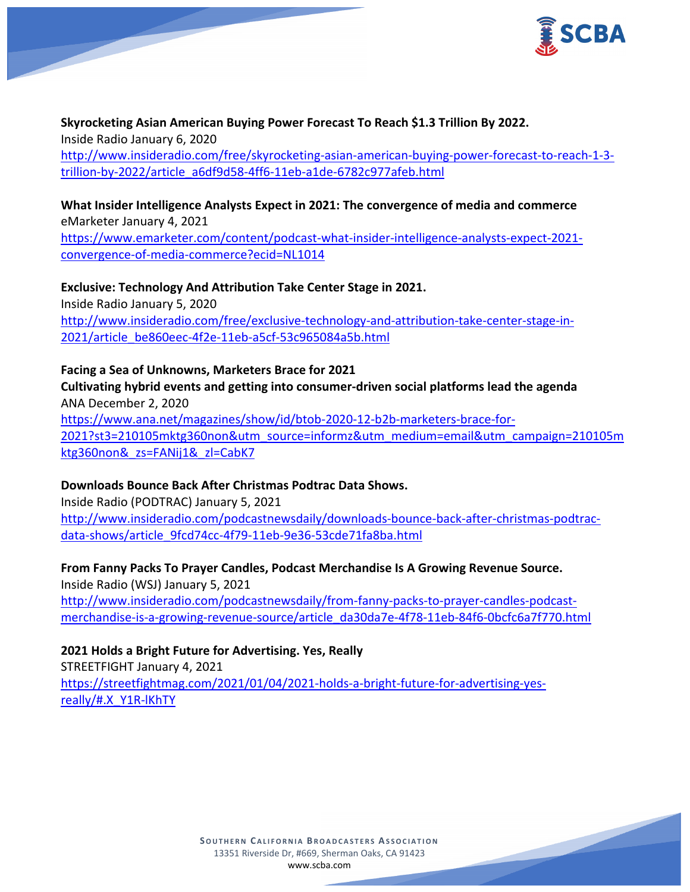

**Skyrocketing Asian American Buying Power Forecast To Reach \$1.3 Trillion By 2022.** Inside Radio January 6, 2020 [http://www.insideradio.com/free/skyrocketing-asian-american-buying-power-forecast-to-reach-1-3](http://www.insideradio.com/free/skyrocketing-asian-american-buying-power-forecast-to-reach-1-3-trillion-by-2022/article_a6df9d58-4ff6-11eb-a1de-6782c977afeb.html) [trillion-by-2022/article\\_a6df9d58-4ff6-11eb-a1de-6782c977afeb.html](http://www.insideradio.com/free/skyrocketing-asian-american-buying-power-forecast-to-reach-1-3-trillion-by-2022/article_a6df9d58-4ff6-11eb-a1de-6782c977afeb.html)

# **What Insider Intelligence Analysts Expect in 2021: The convergence of media and commerce** eMarketer January 4, 2021 [https://www.emarketer.com/content/podcast-what-insider-intelligence-analysts-expect-2021](https://www.emarketer.com/content/podcast-what-insider-intelligence-analysts-expect-2021-convergence-of-media-commerce?ecid=NL1014) [convergence-of-media-commerce?ecid=NL1014](https://www.emarketer.com/content/podcast-what-insider-intelligence-analysts-expect-2021-convergence-of-media-commerce?ecid=NL1014)

**Exclusive: Technology And Attribution Take Center Stage in 2021.** Inside Radio January 5, 2020 [http://www.insideradio.com/free/exclusive-technology-and-attribution-take-center-stage-in-](http://www.insideradio.com/free/exclusive-technology-and-attribution-take-center-stage-in-2021/article_be860eec-4f2e-11eb-a5cf-53c965084a5b.html)[2021/article\\_be860eec-4f2e-11eb-a5cf-53c965084a5b.html](http://www.insideradio.com/free/exclusive-technology-and-attribution-take-center-stage-in-2021/article_be860eec-4f2e-11eb-a5cf-53c965084a5b.html)

## **Facing a Sea of Unknowns, Marketers Brace for 2021**

**Cultivating hybrid events and getting into consumer-driven social platforms lead the agenda** ANA December 2, 2020 [https://www.ana.net/magazines/show/id/btob-2020-12-b2b-marketers-brace-for-](https://www.ana.net/magazines/show/id/btob-2020-12-b2b-marketers-brace-for-2021?st3=210105mktg360non&utm_source=informz&utm_medium=email&utm_campaign=210105mktg360non&_zs=FANij1&_zl=CabK7)[2021?st3=210105mktg360non&utm\\_source=informz&utm\\_medium=email&utm\\_campaign=210105m](https://www.ana.net/magazines/show/id/btob-2020-12-b2b-marketers-brace-for-2021?st3=210105mktg360non&utm_source=informz&utm_medium=email&utm_campaign=210105mktg360non&_zs=FANij1&_zl=CabK7)

ktg360non& zs=FANij1& zl=CabK7

### **Downloads Bounce Back After Christmas Podtrac Data Shows.**

Inside Radio (PODTRAC) January 5, 2021

[http://www.insideradio.com/podcastnewsdaily/downloads-bounce-back-after-christmas-podtrac](http://www.insideradio.com/podcastnewsdaily/downloads-bounce-back-after-christmas-podtrac-data-shows/article_9fcd74cc-4f79-11eb-9e36-53cde71fa8ba.html)[data-shows/article\\_9fcd74cc-4f79-11eb-9e36-53cde71fa8ba.html](http://www.insideradio.com/podcastnewsdaily/downloads-bounce-back-after-christmas-podtrac-data-shows/article_9fcd74cc-4f79-11eb-9e36-53cde71fa8ba.html)

### **From Fanny Packs To Prayer Candles, Podcast Merchandise Is A Growing Revenue Source.**

Inside Radio (WSJ) January 5, 2021 [http://www.insideradio.com/podcastnewsdaily/from-fanny-packs-to-prayer-candles-podcast](http://www.insideradio.com/podcastnewsdaily/from-fanny-packs-to-prayer-candles-podcast-merchandise-is-a-growing-revenue-source/article_da30da7e-4f78-11eb-84f6-0bcfc6a7f770.html)[merchandise-is-a-growing-revenue-source/article\\_da30da7e-4f78-11eb-84f6-0bcfc6a7f770.html](http://www.insideradio.com/podcastnewsdaily/from-fanny-packs-to-prayer-candles-podcast-merchandise-is-a-growing-revenue-source/article_da30da7e-4f78-11eb-84f6-0bcfc6a7f770.html)

### **2021 Holds a Bright Future for Advertising. Yes, Really**

STREETFIGHT January 4, 2021 [https://streetfightmag.com/2021/01/04/2021-holds-a-bright-future-for-advertising-yes](https://streetfightmag.com/2021/01/04/2021-holds-a-bright-future-for-advertising-yes-really/#.X_Y1R-lKhTY)[really/#.X\\_Y1R-lKhTY](https://streetfightmag.com/2021/01/04/2021-holds-a-bright-future-for-advertising-yes-really/#.X_Y1R-lKhTY)